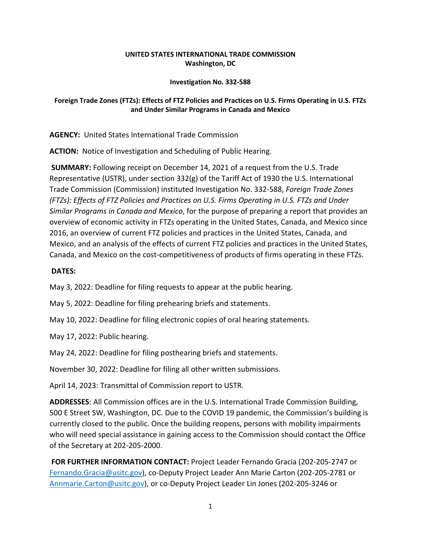### **UNITED STATES INTERNATIONAL TRADE COMMISSION Washington, DC**

#### **Investigation No. 332-588**

# **Foreign Trade Zones (FTZs): Effects of FTZ Policies and Practices on U.S. Firms Operating in U.S. FTZs and Under Similar Programs in Canada and Mexico**

**AGENCY:** United States International Trade Commission

**ACTION:** Notice of Investigation and Scheduling of Public Hearing.

**SUMMARY:** Following receipt on December 14, 2021 of a request from the U.S. Trade Representative (USTR), under section 332(g) of the Tariff Act of 1930 the U.S. International Trade Commission (Commission) instituted Investigation No. 332-588, *Foreign Trade Zones (FTZs): Effects of FTZ Policies and Practices on U.S. Firms Operating in U.S. FTZs and Under Similar Programs in Canada and Mexico*, for the purpose of preparing a report that provides an overview of economic activity in FTZs operating in the United States, Canada, and Mexico since 2016, an overview of current FTZ policies and practices in the United States, Canada, and Mexico, and an analysis of the effects of current FTZ policies and practices in the United States, Canada, and Mexico on the cost-competitiveness of products of firms operating in these FTZs.

# **DATES:**

May 3, 2022: Deadline for filing requests to appear at the public hearing.

May 5, 2022: Deadline for filing prehearing briefs and statements.

May 10, 2022: Deadline for filing electronic copies of oral hearing statements.

May 17, 2022: Public hearing.

May 24, 2022: Deadline for filing posthearing briefs and statements.

November 30, 2022: Deadline for filing all other written submissions.

April 14, 2023: Transmittal of Commission report to USTR.

**ADDRESSES**: All Commission offices are in the U.S. International Trade Commission Building, 500 E Street SW, Washington, DC. Due to the COVID 19 pandemic, the Commission's building is currently closed to the public. Once the building reopens, persons with mobility impairments who will need special assistance in gaining access to the Commission should contact the Office of the Secretary at 202-205-2000.

**FOR FURTHER INFORMATION CONTACT:** Project Leader Fernando Gracia (202-205-2747 or [Fernando.Gracia@usitc.gov\)](mailto:Fernando.Gracia@usitc.gov), co-Deputy Project Leader Ann Marie Carton (202-205-2781 or [Annmarie.Carton@usitc.gov\)](mailto:Annmarie.Carton@usitc.gov), or co-Deputy Project Leader Lin Jones (202-205-3246 or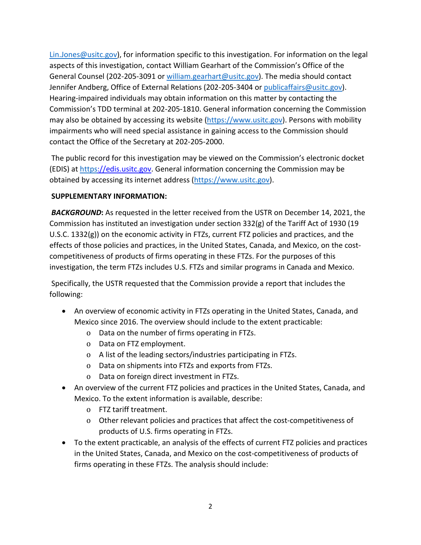[Lin.Jones@usitc.gov\)](mailto:Lin.Jones@usitc.gov), for information specific to this investigation. For information on the legal aspects of this investigation, contact William Gearhart of the Commission's Office of the General Counsel (202-205-3091 or [william.gearhart@usitc.gov\)](mailto:william.gearhart@usitc.gov). The media should contact Jennifer Andberg, Office of External Relations (202-205-3404 or [publicaffairs@usitc.gov\)](mailto:publicaffairs@usitc.gov). Hearing-impaired individuals may obtain information on this matter by contacting the Commission's TDD terminal at 202-205-1810. General information concerning the Commission may also be obtained by accessing its website [\(https://www.usitc.gov\)](https://www.usitc.gov/). Persons with mobility impairments who will need special assistance in gaining access to the Commission should contact the Office of the Secretary at 202-205-2000.

The public record for this investigation may be viewed on the Commission's electronic docket (EDIS) at [https:](https://edis.usitc.gov/)//edis.usitc.gov. General information concerning the Commission may be obtained by accessing its internet address [\(https://www.usitc.gov\)](https://www.usitc.gov/).

### **SUPPLEMENTARY INFORMATION:**

**BACKGROUND:** As requested in the letter received from the USTR on December 14, 2021, the Commission has instituted an investigation under section 332(g) of the Tariff Act of 1930 (19 U.S.C. 1332(g)) on the economic activity in FTZs, current FTZ policies and practices, and the effects of those policies and practices, in the United States, Canada, and Mexico, on the costcompetitiveness of products of firms operating in these FTZs. For the purposes of this investigation, the term FTZs includes U.S. FTZs and similar programs in Canada and Mexico.

Specifically, the USTR requested that the Commission provide a report that includes the following:

- An overview of economic activity in FTZs operating in the United States, Canada, and Mexico since 2016. The overview should include to the extent practicable:
	- o Data on the number of firms operating in FTZs.
	- o Data on FTZ employment.
	- o A list of the leading sectors/industries participating in FTZs.
	- o Data on shipments into FTZs and exports from FTZs.
	- o Data on foreign direct investment in FTZs.
- An overview of the current FTZ policies and practices in the United States, Canada, and Mexico. To the extent information is available, describe:
	- o FTZ tariff treatment.
	- o Other relevant policies and practices that affect the cost-competitiveness of products of U.S. firms operating in FTZs.
- To the extent practicable, an analysis of the effects of current FTZ policies and practices in the United States, Canada, and Mexico on the cost-competitiveness of products of firms operating in these FTZs. The analysis should include: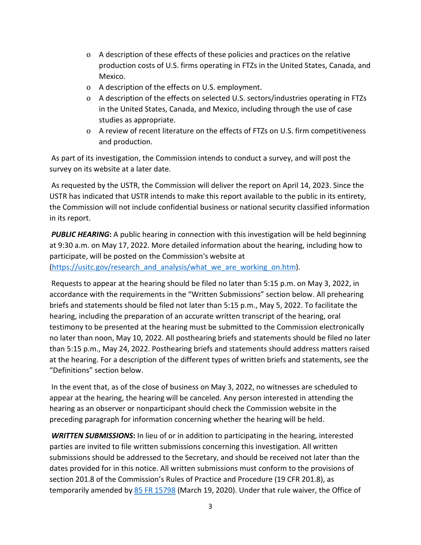- o A description of these effects of these policies and practices on the relative production costs of U.S. firms operating in FTZs in the United States, Canada, and Mexico.
- o A description of the effects on U.S. employment.
- o A description of the effects on selected U.S. sectors/industries operating in FTZs in the United States, Canada, and Mexico, including through the use of case studies as appropriate.
- o A review of recent literature on the effects of FTZs on U.S. firm competitiveness and production.

As part of its investigation, the Commission intends to conduct a survey, and will post the survey on its website at a later date.

As requested by the USTR, the Commission will deliver the report on April 14, 2023. Since the USTR has indicated that USTR intends to make this report available to the public in its entirety, the Commission will not include confidential business or national security classified information in its report.

**PUBLIC HEARING:** A public hearing in connection with this investigation will be held beginning at 9:30 a.m. on May 17, 2022. More detailed information about the hearing, including how to participate, will be posted on the Commission's website at

[\(https://usitc.gov/research\\_and\\_analysis/what\\_we\\_are\\_working\\_on.htm\)](https://usitc.gov/research_and_analysis/what_we_are_working_on.htm).

Requests to appear at the hearing should be filed no later than 5:15 p.m. on May 3, 2022, in accordance with the requirements in the "Written Submissions" section below. All prehearing briefs and statements should be filed not later than 5:15 p.m., May 5, 2022. To facilitate the hearing, including the preparation of an accurate written transcript of the hearing, oral testimony to be presented at the hearing must be submitted to the Commission electronically no later than noon, May 10, 2022. All posthearing briefs and statements should be filed no later than 5:15 p.m., May 24, 2022. Posthearing briefs and statements should address matters raised at the hearing. For a description of the different types of written briefs and statements, see the "Definitions" section below.

In the event that, as of the close of business on May 3, 2022, no witnesses are scheduled to appear at the hearing, the hearing will be canceled. Any person interested in attending the hearing as an observer or nonparticipant should check the Commission website in the preceding paragraph for information concerning whether the hearing will be held.

*WRITTEN SUBMISSIONS***:** In lieu of or in addition to participating in the hearing, interested parties are invited to file written submissions concerning this investigation. All written submissions should be addressed to the Secretary, and should be received not later than the dates provided for in this notice. All written submissions must conform to the provisions of section 201.8 of the Commission's Rules of Practice and Procedure (19 CFR 201.8), as temporarily amended by [85 FR 15798](https://www.govinfo.gov/content/pkg/FR-2020-03-19/pdf/2020-05767.pdf) (March 19, 2020). Under that rule waiver, the Office of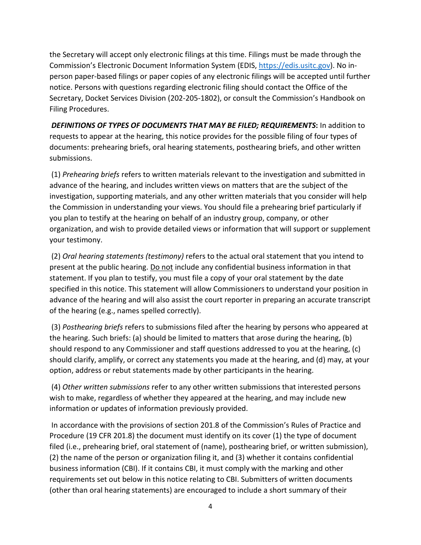the Secretary will accept only electronic filings at this time. Filings must be made through the Commission's Electronic Document Information System (EDIS, [https://edis.usitc.gov\)](https://edis.usitc.gov/). No inperson paper-based filings or paper copies of any electronic filings will be accepted until further notice. Persons with questions regarding electronic filing should contact the Office of the Secretary, Docket Services Division (202-205-1802), or consult the Commission's Handbook on Filing Procedures.

*DEFINITIONS OF TYPES OF DOCUMENTS THAT MAY BE FILED; REQUIREMENTS***:** In addition to requests to appear at the hearing, this notice provides for the possible filing of four types of documents: prehearing briefs, oral hearing statements, posthearing briefs, and other written submissions.

(1) *Prehearing briefs* refers to written materials relevant to the investigation and submitted in advance of the hearing, and includes written views on matters that are the subject of the investigation, supporting materials, and any other written materials that you consider will help the Commission in understanding your views. You should file a prehearing brief particularly if you plan to testify at the hearing on behalf of an industry group, company, or other organization, and wish to provide detailed views or information that will support or supplement your testimony.

(2) *Oral hearing statements (testimony)* refers to the actual oral statement that you intend to present at the public hearing. Do not include any confidential business information in that statement. If you plan to testify, you must file a copy of your oral statement by the date specified in this notice. This statement will allow Commissioners to understand your position in advance of the hearing and will also assist the court reporter in preparing an accurate transcript of the hearing (e.g., names spelled correctly).

(3) *Posthearing briefs* refers to submissions filed after the hearing by persons who appeared at the hearing. Such briefs: (a) should be limited to matters that arose during the hearing, (b) should respond to any Commissioner and staff questions addressed to you at the hearing, (c) should clarify, amplify, or correct any statements you made at the hearing, and (d) may, at your option, address or rebut statements made by other participants in the hearing.

(4) *Other written submissions* refer to any other written submissions that interested persons wish to make, regardless of whether they appeared at the hearing, and may include new information or updates of information previously provided.

In accordance with the provisions of section 201.8 of the Commission's Rules of Practice and Procedure (19 CFR 201.8) the document must identify on its cover (1) the type of document filed (i.e., prehearing brief, oral statement of (name), posthearing brief, or written submission), (2) the name of the person or organization filing it, and (3) whether it contains confidential business information (CBI). If it contains CBI, it must comply with the marking and other requirements set out below in this notice relating to CBI. Submitters of written documents (other than oral hearing statements) are encouraged to include a short summary of their